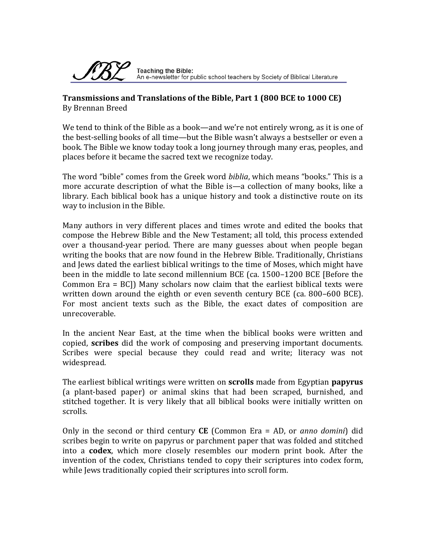

#### **Transmissions and Translations of the Bible, Part 1 (800 BCE to 1000 CE)** By Brennan Breed

We tend to think of the Bible as a book—and we're not entirely wrong, as it is one of the best‐selling books of all time—but the Bible wasn't always a bestseller or even a book. The Bible we know today took a long journey through many eras, peoples, and places before it became the sacred text we recognize today.

The word "bible" comes from the Greek word *biblia*, which means "books." This is a more accurate description of what the Bible is—a collection of many books, like a library. Each biblical book has a unique history and took a distinctive route on its way to inclusion in the Bible.

Many authors in very different places and times wrote and edited the books that compose the Hebrew Bible and the New Testament; all told, this process extended over a thousand‐year period. There are many guesses about when people began writing the books that are now found in the Hebrew Bible. Traditionally, Christians and Jews dated the earliest biblical writings to the time of Moses, which might have been in the middle to late second millennium BCE (ca. 1500–1200 BCE [Before the Common  $Era = BC$ ]) Many scholars now claim that the earliest biblical texts were written down around the eighth or even seventh century BCE (ca. 800–600 BCE). For most ancient texts such as the Bible, the exact dates of composition are unrecoverable.

In the ancient Near East, at the time when the biblical books were written and copied, **scribes** did the work of composing and preserving important documents. Scribes were special because they could read and write; literacy was not widespread.

The earliest biblical writings were written on **scrolls** made from Egyptian **papyrus** (a plant‐based paper) or animal skins that had been scraped, burnished, and stitched together. It is very likely that all biblical books were initially written on scrolls.

Only in the second or third century **CE** (Common Era = AD, or *anno domini*) did scribes begin to write on papyrus or parchment paper that was folded and stitched into a **codex**, which more closely resembles our modern print book. After the invention of the codex, Christians tended to copy their scriptures into codex form, while Jews traditionally copied their scriptures into scroll form.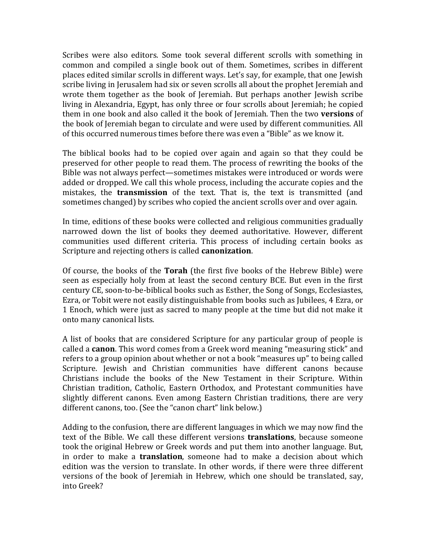Scribes were also editors. Some took several different scrolls with something in common and compiled a single book out of them. Sometimes, scribes in different places edited similar scrolls in different ways. Let's say, for example, that one Jewish scribe living in Jerusalem had six or seven scrolls all about the prophet Jeremiah and wrote them together as the book of Jeremiah. But perhaps another Jewish scribe living in Alexandria, Egypt, has only three or four scrolls about Jeremiah; he copied them in one book and also called it the book of Jeremiah. Then the two **versions** of the book of Jeremiah began to circulate and were used by different communities. All of this occurred numerous times before there was even a "Bible" as we know it.

The biblical books had to be copied over again and again so that they could be preserved for other people to read them. The process of rewriting the books of the Bible was not always perfect—sometimes mistakes were introduced or words were added or dropped. We call this whole process, including the accurate copies and the mistakes, the **transmission** of the text. That is, the text is transmitted (and sometimes changed) by scribes who copied the ancient scrolls over and over again.

In time, editions of these books were collected and religious communities gradually narrowed down the list of books they deemed authoritative. However, different communities used different criteria. This process of including certain books as Scripture and rejecting others is called **canonization**.

Of course, the books of the **Torah** (the first five books of the Hebrew Bible) were seen as especially holy from at least the second century BCE. But even in the first century CE, soon‐to‐be‐biblical books such as Esther, the Song of Songs, Ecclesiastes, Ezra, or Tobit were not easily distinguishable from books such as Jubilees, 4 Ezra, or 1 Enoch, which were just as sacred to many people at the time but did not make it onto many canonical lists.

A list of books that are considered Scripture for any particular group of people is called a **canon**. This word comes from a Greek word meaning "measuring stick" and refers to a group opinion about whether or not a book "measures up" to being called Scripture. Jewish and Christian communities have different canons because Christians include the books of the New Testament in their Scripture. Within Christian tradition, Catholic, Eastern Orthodox, and Protestant communities have slightly different canons. Even among Eastern Christian traditions, there are very different canons, too. (See the "canon chart" link below.)

Adding to the confusion, there are different languages in which we may now find the text of the Bible. We call these different versions **translations**, because someone took the original Hebrew or Greek words and put them into another language. But, in order to make a **translation**, someone had to make a decision about which edition was the version to translate. In other words, if there were three different versions of the book of Jeremiah in Hebrew, which one should be translated, say, into Greek?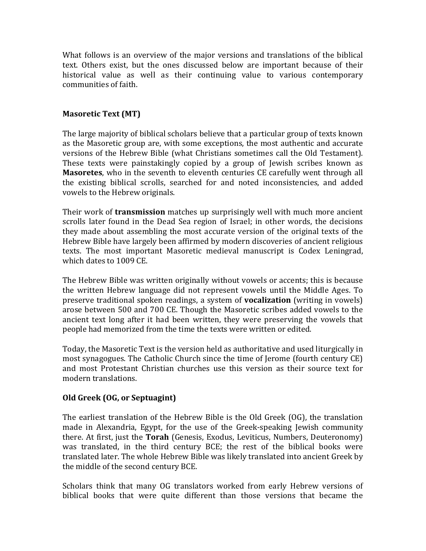What follows is an overview of the major versions and translations of the biblical text. Others exist, but the ones discussed below are important because of their historical value as well as their continuing value to various contemporary communities of faith.

# **Masoretic Text (MT)**

The large majority of biblical scholars believe that a particular group of texts known as the Masoretic group are, with some exceptions, the most authentic and accurate versions of the Hebrew Bible (what Christians sometimes call the Old Testament). These texts were painstakingly copied by a group of Jewish scribes known as **Masoretes**, who in the seventh to eleventh centuries CE carefully went through all the existing biblical scrolls, searched for and noted inconsistencies, and added vowels to the Hebrew originals.

Their work of **transmission** matches up surprisingly well with much more ancient scrolls later found in the Dead Sea region of Israel; in other words, the decisions they made about assembling the most accurate version of the original texts of the Hebrew Bible have largely been affirmed by modern discoveries of ancient religious texts. The most important Masoretic medieval manuscript is Codex Leningrad, which dates to 1009 CE.

The Hebrew Bible was written originally without vowels or accents; this is because the written Hebrew language did not represent vowels until the Middle Ages. To preserve traditional spoken readings, a system of **vocalization** (writing in vowels) arose between 500 and 700 CE. Though the Masoretic scribes added vowels to the ancient text long after it had been written, they were preserving the vowels that people had memorized from the time the texts were written or edited.

Today, the Masoretic Text is the version held as authoritative and used liturgically in most synagogues. The Catholic Church since the time of Jerome (fourth century CE) and most Protestant Christian churches use this version as their source text for modern translations.

## **Old Greek (OG, or Septuagint)**

The earliest translation of the Hebrew Bible is the Old Greek (OG), the translation made in Alexandria, Egypt, for the use of the Greek-speaking Jewish community there. At first, just the **Torah** (Genesis, Exodus, Leviticus, Numbers, Deuteronomy) was translated, in the third century BCE; the rest of the biblical books were translated later. The whole Hebrew Bible was likely translated into ancient Greek by the middle of the second century BCE.

Scholars think that many OG translators worked from early Hebrew versions of biblical books that were quite different than those versions that became the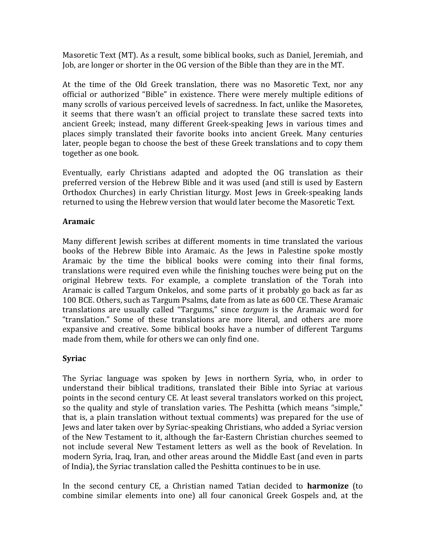Masoretic Text (MT). As a result, some biblical books, such as Daniel, Jeremiah, and Job, are longer or shorter in the OG version of the Bible than they are in the MT.

At the time of the Old Greek translation, there was no Masoretic Text, nor any official or authorized "Bible" in existence. There were merely multiple editions of many scrolls of various perceived levels of sacredness. In fact, unlike the Masoretes, it seems that there wasn't an official project to translate these sacred texts into ancient Greek; instead, many different Greek‐speaking Jews in various times and places simply translated their favorite books into ancient Greek. Many centuries later, people began to choose the best of these Greek translations and to copy them together as one book.

Eventually, early Christians adapted and adopted the OG translation as their preferred version of the Hebrew Bible and it was used (and still is used by Eastern Orthodox Churches) in early Christian liturgy. Most Jews in Greek-speaking lands returned to using the Hebrew version that would later become the Masoretic Text.

# **Aramaic**

Many different Jewish scribes at different moments in time translated the various books of the Hebrew Bible into Aramaic. As the Jews in Palestine spoke mostly Aramaic by the time the biblical books were coming into their final forms, translations were required even while the finishing touches were being put on the original Hebrew texts. For example, a complete translation of the Torah into Aramaic is called Targum Onkelos, and some parts of it probably go back as far as 100 BCE. Others, such as Targum Psalms, date from as late as 600 CE. These Aramaic translations are usually called "Targums," since *targum* is the Aramaic word for "translation." Some of these translations are more literal, and others are more expansive and creative. Some biblical books have a number of different Targums made from them, while for others we can only find one.

## **Syriac**

The Syriac language was spoken by Jews in northern Syria, who, in order to understand their biblical traditions, translated their Bible into Syriac at various points in the second century CE. At least several translators worked on this project, so the quality and style of translation varies. The Peshitta (which means "simple," that is, a plain translation without textual comments) was prepared for the use of Jews and later taken over by Syriac‐speaking Christians, who added a Syriac version of the New Testament to it, although the far‐Eastern Christian churches seemed to not include several New Testament letters as well as the book of Revelation. In modern Syria, Iraq, Iran, and other areas around the Middle East (and even in parts of India), the Syriac translation called the Peshitta continues to be in use.

In the second century CE, a Christian named Tatian decided to **harmonize** (to combine similar elements into one) all four canonical Greek Gospels and, at the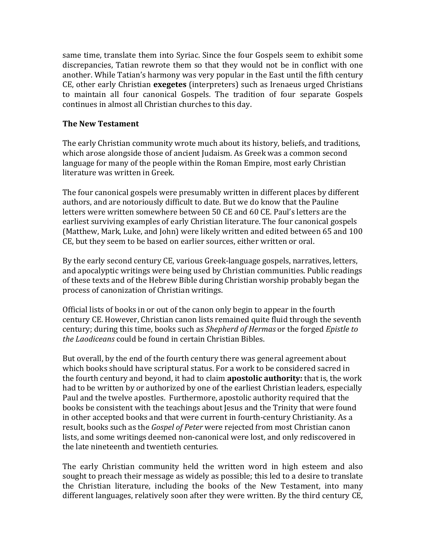same time, translate them into Syriac. Since the four Gospels seem to exhibit some discrepancies, Tatian rewrote them so that they would not be in conflict with one another. While Tatian's harmony was very popular in the East until the fifth century CE, other early Christian **exegetes** (interpreters) such as Irenaeus urged Christians to maintain all four canonical Gospels. The tradition of four separate Gospels continues in almost all Christian churches to this day.

### **The New Testament**

The early Christian community wrote much about its history, beliefs, and traditions, which arose alongside those of ancient Judaism. As Greek was a common second language for many of the people within the Roman Empire, most early Christian literature was written in Greek.

The four canonical gospels were presumably written in different places by different authors, and are notoriously difficult to date. But we do know that the Pauline letters were written somewhere between 50 CE and 60 CE. Paul's letters are the earliest surviving examples of early Christian literature. The four canonical gospels (Matthew, Mark, Luke, and John) were likely written and edited between 65 and 100 CE, but they seem to be based on earlier sources, either written or oral.

By the early second century CE, various Greek‐language gospels, narratives, letters, and apocalyptic writings were being used by Christian communities. Public readings of these texts and of the Hebrew Bible during Christian worship probably began the process of canonization of Christian writings.

Official lists of books in or out of the canon only begin to appear in the fourth century CE. However, Christian canon lists remained quite fluid through the seventh century; during this time, books such as *Shepherd of Hermas* or the forged *Epistle to the Laodiceans* could be found in certain Christian Bibles.

But overall, by the end of the fourth century there was general agreement about which books should have scriptural status. For a work to be considered sacred in the fourth century and beyond, it had to claim **apostolic authority:** that is, the work had to be written by or authorized by one of the earliest Christian leaders, especially Paul and the twelve apostles. Furthermore, apostolic authority required that the books be consistent with the teachings about Jesus and the Trinity that were found in other accepted books and that were current in fourth‐century Christianity. As a result, books such as the *Gospel of Peter* were rejected from most Christian canon lists, and some writings deemed non‐canonical were lost, and only rediscovered in the late nineteenth and twentieth centuries.

The early Christian community held the written word in high esteem and also sought to preach their message as widely as possible; this led to a desire to translate the Christian literature, including the books of the New Testament, into many different languages, relatively soon after they were written. By the third century CE,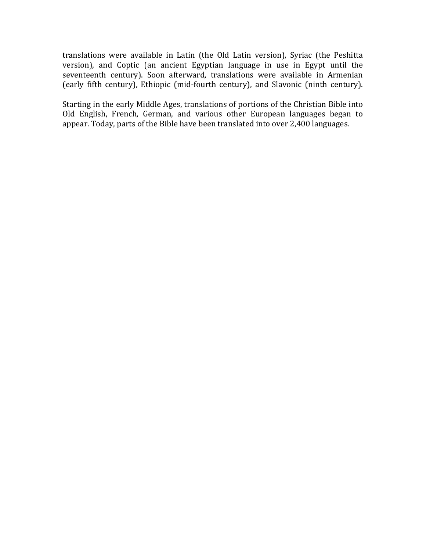translations were available in Latin (the Old Latin version), Syriac (the Peshitta version), and Coptic (an ancient Egyptian language in use in Egypt until the seventeenth century). Soon afterward, translations were available in Armenian (early fifth century), Ethiopic (mid‐fourth century), and Slavonic (ninth century).

Starting in the early Middle Ages, translations of portions of the Christian Bible into Old English, French, German, and various other European languages began to appear. Today, parts of the Bible have been translated into over 2,400 languages.